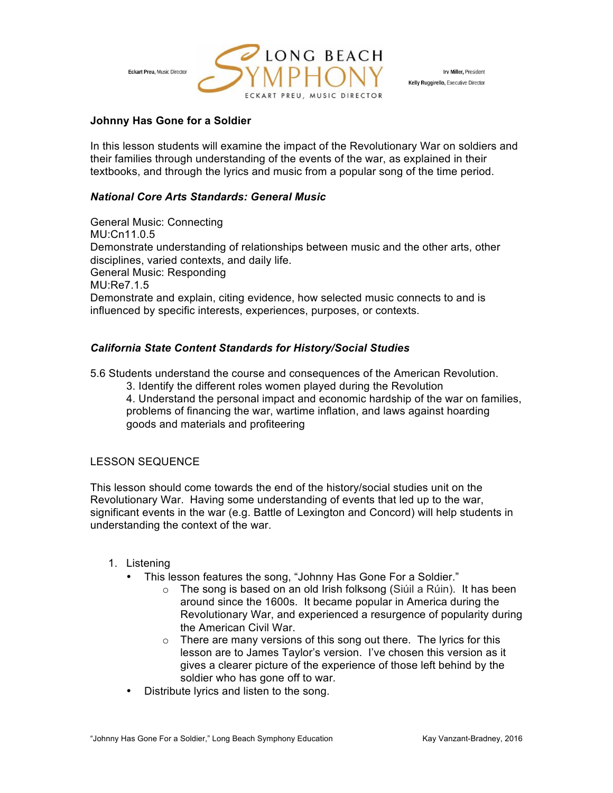

Irv Miller, President Kelly Ruggirello, Executive Director

# **Johnny Has Gone for a Soldier**

In this lesson students will examine the impact of the Revolutionary War on soldiers and their families through understanding of the events of the war, as explained in their textbooks, and through the lyrics and music from a popular song of the time period.

# *National Core Arts Standards: General Music*

General Music: Connecting MU:Cn11.0.5 Demonstrate understanding of relationships between music and the other arts, other disciplines, varied contexts, and daily life. General Music: Responding MU:Re7.1.5 Demonstrate and explain, citing evidence, how selected music connects to and is influenced by specific interests, experiences, purposes, or contexts.

# *California State Content Standards for History/Social Studies*

5.6 Students understand the course and consequences of the American Revolution.

3. Identify the different roles women played during the Revolution 4. Understand the personal impact and economic hardship of the war on families, problems of financing the war, wartime inflation, and laws against hoarding goods and materials and profiteering

### LESSON SEQUENCE

This lesson should come towards the end of the history/social studies unit on the Revolutionary War. Having some understanding of events that led up to the war, significant events in the war (e.g. Battle of Lexington and Concord) will help students in understanding the context of the war.

### 1. Listening

- This lesson features the song, "Johnny Has Gone For a Soldier."
	- o The song is based on an old Irish folksong (Siúil a Rúin). It has been around since the 1600s. It became popular in America during the Revolutionary War, and experienced a resurgence of popularity during the American Civil War.
	- $\circ$  There are many versions of this song out there. The lyrics for this lesson are to James Taylor's version. I've chosen this version as it gives a clearer picture of the experience of those left behind by the soldier who has gone off to war.
- Distribute lyrics and listen to the song.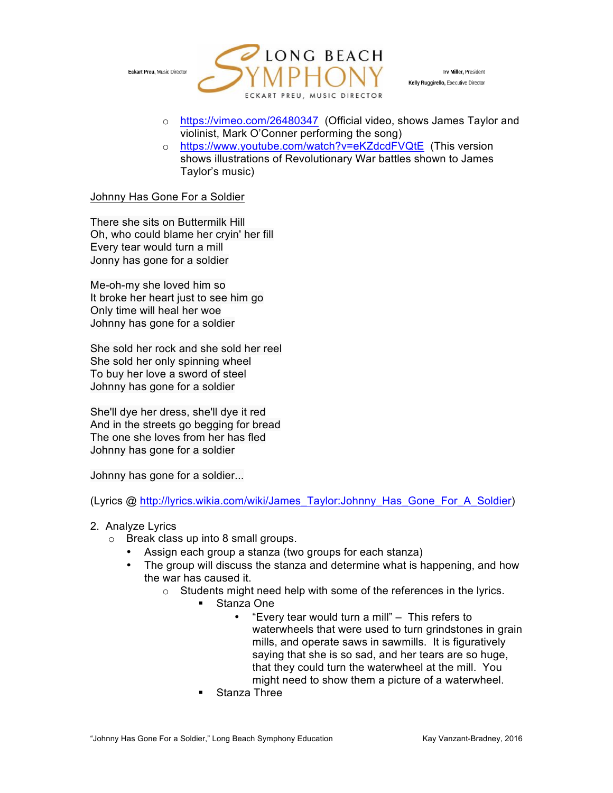

Irv Miller, President Kelly Ruggirello, Executive Director

- o https://vimeo.com/26480347 (Official video, shows James Taylor and violinist, Mark O'Conner performing the song)
- o https://www.youtube.com/watch?v=eKZdcdFVQtE (This version shows illustrations of Revolutionary War battles shown to James Taylor's music)

#### Johnny Has Gone For a Soldier

There she sits on Buttermilk Hill Oh, who could blame her cryin' her fill Every tear would turn a mill Jonny has gone for a soldier

Me-oh-my she loved him so It broke her heart just to see him go Only time will heal her woe Johnny has gone for a soldier

She sold her rock and she sold her reel She sold her only spinning wheel To buy her love a sword of steel Johnny has gone for a soldier

She'll dye her dress, she'll dye it red And in the streets go begging for bread The one she loves from her has fled Johnny has gone for a soldier

Johnny has gone for a soldier...

(Lyrics @ http://lyrics.wikia.com/wiki/James\_Taylor:Johnny\_Has\_Gone\_For\_A\_Soldier)

- 2. Analyze Lyrics
	- o Break class up into 8 small groups.
		- Assign each group a stanza (two groups for each stanza)
		- The group will discuss the stanza and determine what is happening, and how the war has caused it.
			- o Students might need help with some of the references in the lyrics.
				- § Stanza One
					- "Every tear would turn a mill" This refers to waterwheels that were used to turn grindstones in grain mills, and operate saws in sawmills. It is figuratively saying that she is so sad, and her tears are so huge, that they could turn the waterwheel at the mill. You might need to show them a picture of a waterwheel.
				- § Stanza Three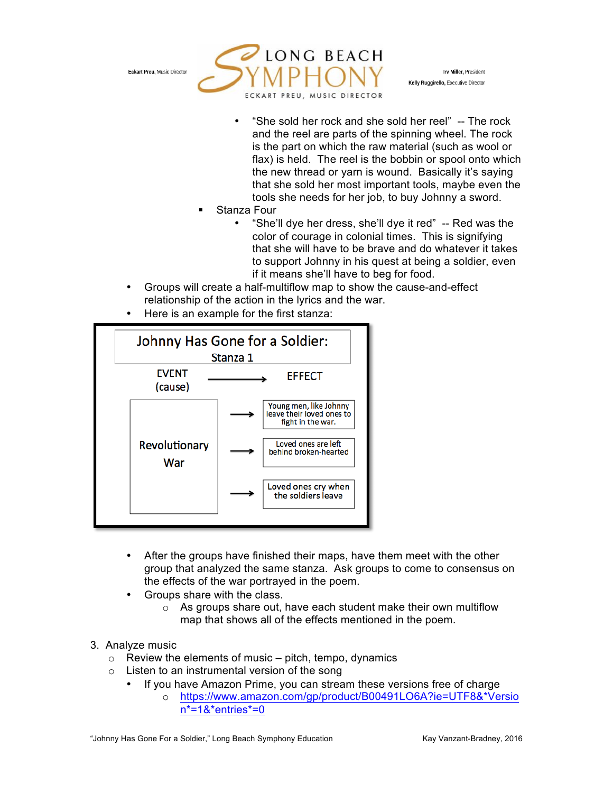

Irv Miller, President Kelly Ruggirello, Executive Director

- "She sold her rock and she sold her reel" -- The rock and the reel are parts of the spinning wheel. The rock is the part on which the raw material (such as wool or flax) is held. The reel is the bobbin or spool onto which the new thread or yarn is wound. Basically it's saying that she sold her most important tools, maybe even the tools she needs for her job, to buy Johnny a sword.
- § Stanza Four
	- "She'll dye her dress, she'll dye it red" -- Red was the color of courage in colonial times. This is signifying that she will have to be brave and do whatever it takes to support Johnny in his quest at being a soldier, even if it means she'll have to beg for food.
- Groups will create a half-multiflow map to show the cause-and-effect relationship of the action in the lyrics and the war.
- Here is an example for the first stanza:



- After the groups have finished their maps, have them meet with the other group that analyzed the same stanza. Ask groups to come to consensus on the effects of the war portrayed in the poem.
- Groups share with the class.
	- o As groups share out, have each student make their own multiflow map that shows all of the effects mentioned in the poem.
- 3. Analyze music
	- $\circ$  Review the elements of music pitch, tempo, dynamics
	- $\circ$  Listen to an instrumental version of the song
		- If you have Amazon Prime, you can stream these versions free of charge
			- o https://www.amazon.com/gp/product/B00491LO6A?ie=UTF8&\*Versio n\*=1&\*entries\*=0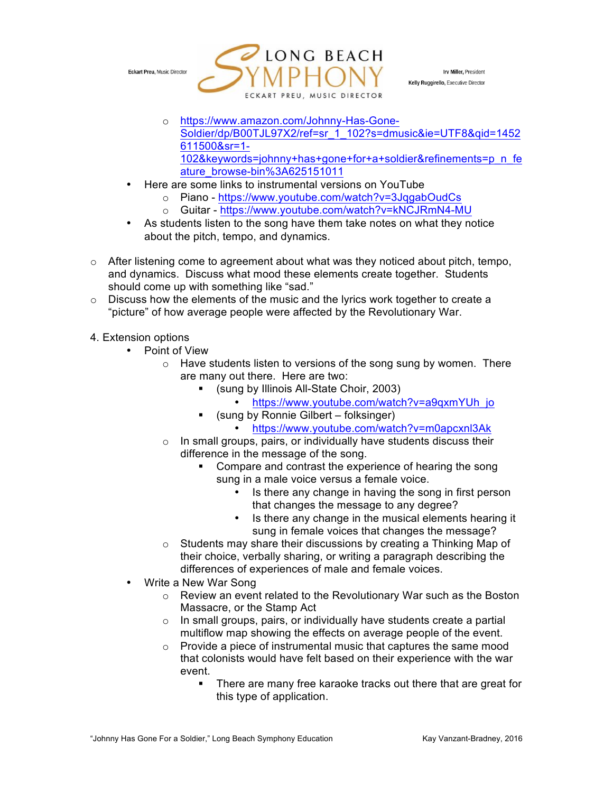

Irv Miller, President Kelly Ruggirello, Executive Director

- o https://www.amazon.com/Johnny-Has-Gone-Soldier/dp/B00TJL97X2/ref=sr\_1\_102?s=dmusic&ie=UTF8&qid=1452 611500&sr=1- 102&keywords=johnny+has+gone+for+a+soldier&refinements=p\_n\_fe ature\_browse-bin%3A625151011
- Here are some links to instrumental versions on YouTube
	- o Piano https://www.youtube.com/watch?v=3JqgabOudCs
	- o Guitar https://www.youtube.com/watch?v=kNCJRmN4-MU
- As students listen to the song have them take notes on what they notice about the pitch, tempo, and dynamics.
- $\circ$  After listening come to agreement about what was they noticed about pitch, tempo, and dynamics. Discuss what mood these elements create together. Students should come up with something like "sad."
- $\circ$  Discuss how the elements of the music and the lyrics work together to create a "picture" of how average people were affected by the Revolutionary War.

### 4. Extension options

- Point of View
	- o Have students listen to versions of the song sung by women. There are many out there. Here are two:
		- § (sung by Illinois All-State Choir, 2003)
			- https://www.youtube.com/watch?v=a9qxmYUh\_jo
			- § (sung by Ronnie Gilbert folksinger)
				- https://www.youtube.com/watch?v=m0apcxnl3Ak
	- o In small groups, pairs, or individually have students discuss their difference in the message of the song.
		- Compare and contrast the experience of hearing the song sung in a male voice versus a female voice.
			- Is there any change in having the song in first person that changes the message to any degree?
			- Is there any change in the musical elements hearing it sung in female voices that changes the message?
	- o Students may share their discussions by creating a Thinking Map of their choice, verbally sharing, or writing a paragraph describing the differences of experiences of male and female voices.
- Write a New War Song
	- o Review an event related to the Revolutionary War such as the Boston Massacre, or the Stamp Act
	- o In small groups, pairs, or individually have students create a partial multiflow map showing the effects on average people of the event.
	- o Provide a piece of instrumental music that captures the same mood that colonists would have felt based on their experience with the war event.
		- There are many free karaoke tracks out there that are great for this type of application.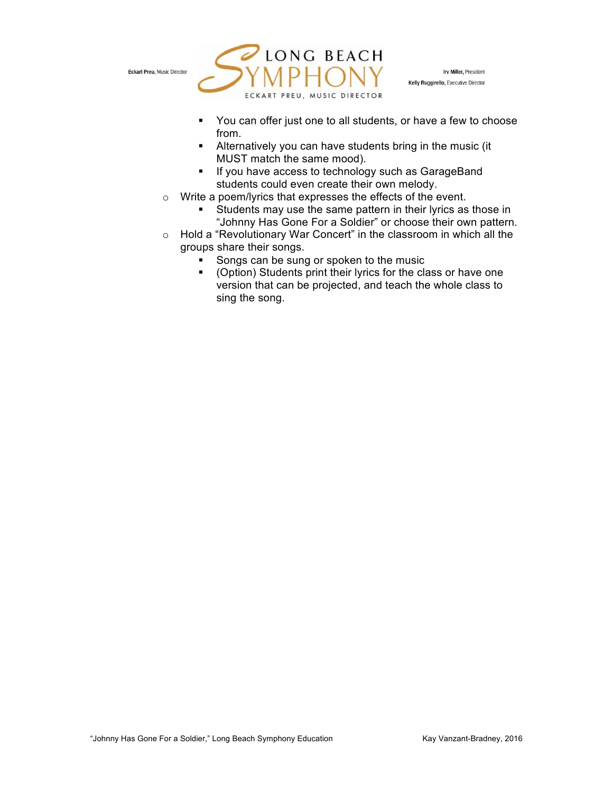

Irv Miller, President Kelly Ruggirello, Executive Director

- § You can offer just one to all students, or have a few to choose from.
- **EXTERN** Alternatively you can have students bring in the music (it MUST match the same mood).
- If you have access to technology such as GarageBand students could even create their own melody.
- o Write a poem/lyrics that expresses the effects of the event.
	- Students may use the same pattern in their lyrics as those in "Johnny Has Gone For a Soldier" or choose their own pattern.
- o Hold a "Revolutionary War Concert" in the classroom in which all the groups share their songs.
	- Songs can be sung or spoken to the music
	- § (Option) Students print their lyrics for the class or have one version that can be projected, and teach the whole class to sing the song.